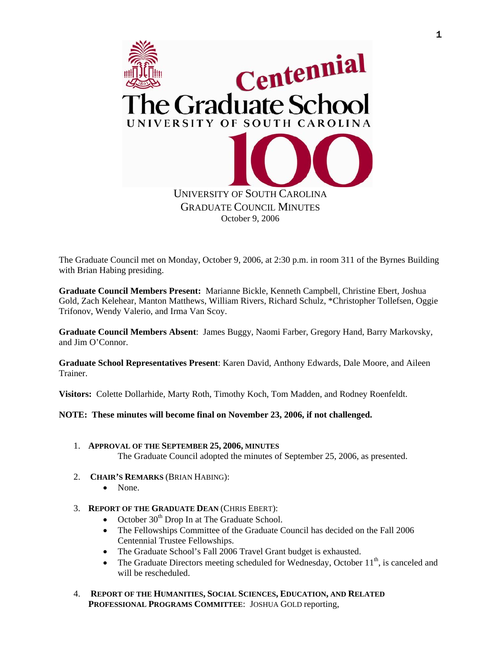

The Graduate Council met on Monday, October 9, 2006, at 2:30 p.m. in room 311 of the Byrnes Building with Brian Habing presiding.

**Graduate Council Members Present:** Marianne Bickle, Kenneth Campbell, Christine Ebert, Joshua Gold, Zach Kelehear, Manton Matthews, William Rivers, Richard Schulz, \*Christopher Tollefsen, Oggie Trifonov, Wendy Valerio, and Irma Van Scoy.

**Graduate Council Members Absent**: James Buggy, Naomi Farber, Gregory Hand, Barry Markovsky, and Jim O'Connor.

**Graduate School Representatives Present**: Karen David, Anthony Edwards, Dale Moore, and Aileen Trainer.

**Visitors:** Colette Dollarhide, Marty Roth, Timothy Koch, Tom Madden, and Rodney Roenfeldt.

**NOTE: These minutes will become final on November 23, 2006, if not challenged.**

- 1. **APPROVAL OF THE SEPTEMBER 25, 2006, MINUTES** The Graduate Council adopted the minutes of September 25, 2006, as presented.
- 2. **CHAIR'S REMARKS** (BRIAN HABING):
	- None.
- 3. **REPORT OF THE GRADUATE DEAN** (CHRIS EBERT):
	- October  $30<sup>th</sup>$  Drop In at The Graduate School.
	- The Fellowships Committee of the Graduate Council has decided on the Fall 2006 Centennial Trustee Fellowships.
	- The Graduate School's Fall 2006 Travel Grant budget is exhausted.
	- The Graduate Directors meeting scheduled for Wednesday, October  $11<sup>th</sup>$ , is canceled and will be rescheduled.
- 4. **REPORT OF THE HUMANITIES, SOCIAL SCIENCES, EDUCATION, AND RELATED PROFESSIONAL PROGRAMS COMMITTEE**: JOSHUA GOLD reporting,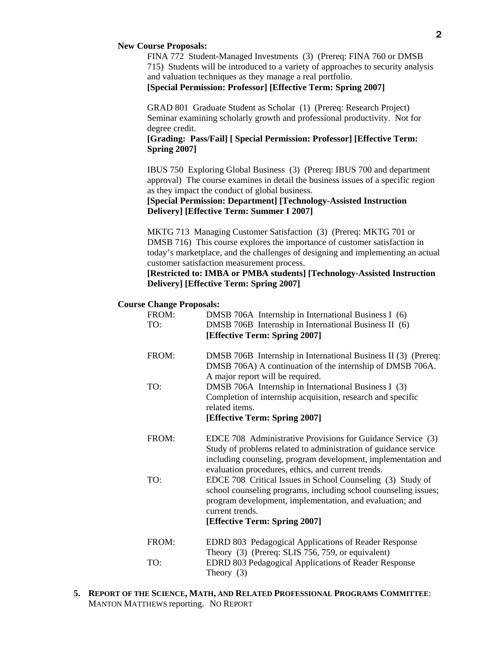#### **New Course Proposals:**

FINA 772 Student-Managed Investments (3) (Prereq: FINA 760 or DMSB 715) Students will be introduced to a variety of approaches to security analysis and valuation techniques as they manage a real portfolio. **[Special Permission: Professor] [Effective Term: Spring 2007]**

GRAD 801 Graduate Student as Scholar (1) (Prereq: Research Project) Seminar examining scholarly growth and professional productivity. Not for degree credit.

## **[Grading: Pass/Fail] [ Special Permission: Professor] [Effective Term: Spring 2007]**

IBUS 750 Exploring Global Business (3) (Prereq: IBUS 700 and department approval) The course examines in detail the business issues of a specific region as they impact the conduct of global business.

# **[Special Permission: Department] [Technology-Assisted Instruction Delivery] [Effective Term: Summer I 2007]**

MKTG 713 Managing Customer Satisfaction (3) (Prereq: MKTG 701 or DMSB 716) This course explores the importance of customer satisfaction in today's marketplace, and the challenges of designing and implementing an actual customer satisfaction measurement process.

# **[Restricted to: IMBA or PMBA students] [Technology-Assisted Instruction Delivery] [Effective Term: Spring 2007]**

#### **Course Change Proposals:**

| FROM:<br>TO: | DMSB 706A Internship in International Business I (6)<br>DMSB 706B Internship in International Business II (6)<br>[Effective Term: Spring 2007]                                                                                                        |
|--------------|-------------------------------------------------------------------------------------------------------------------------------------------------------------------------------------------------------------------------------------------------------|
| FROM:        | DMSB 706B Internship in International Business II (3) (Prereq:<br>DMSB 706A) A continuation of the internship of DMSB 706A.<br>A major report will be required.                                                                                       |
| TO:          | DMSB 706A Internship in International Business I (3)<br>Completion of internship acquisition, research and specific<br>related items.<br>[Effective Term: Spring 2007]                                                                                |
| FROM:        | EDCE 708 Administrative Provisions for Guidance Service (3)<br>Study of problems related to administration of guidance service<br>including counseling, program development, implementation and<br>evaluation procedures, ethics, and current trends. |
| TO:          | EDCE 708 Critical Issues in School Counseling (3) Study of<br>school counseling programs, including school counseling issues;<br>program development, implementation, and evaluation; and<br>current trends.<br>[Effective Term: Spring 2007]         |
| FROM:        | EDRD 803 Pedagogical Applications of Reader Response                                                                                                                                                                                                  |
| TO:          | Theory (3) (Prereq: SLIS 756, 759, or equivalent)<br>EDRD 803 Pedagogical Applications of Reader Response<br>Theory $(3)$                                                                                                                             |

**5. REPORT OF THE SCIENCE, MATH, AND RELATED PROFESSIONAL PROGRAMS COMMITTEE**: MANTON MATTHEWS reporting. NO REPORT